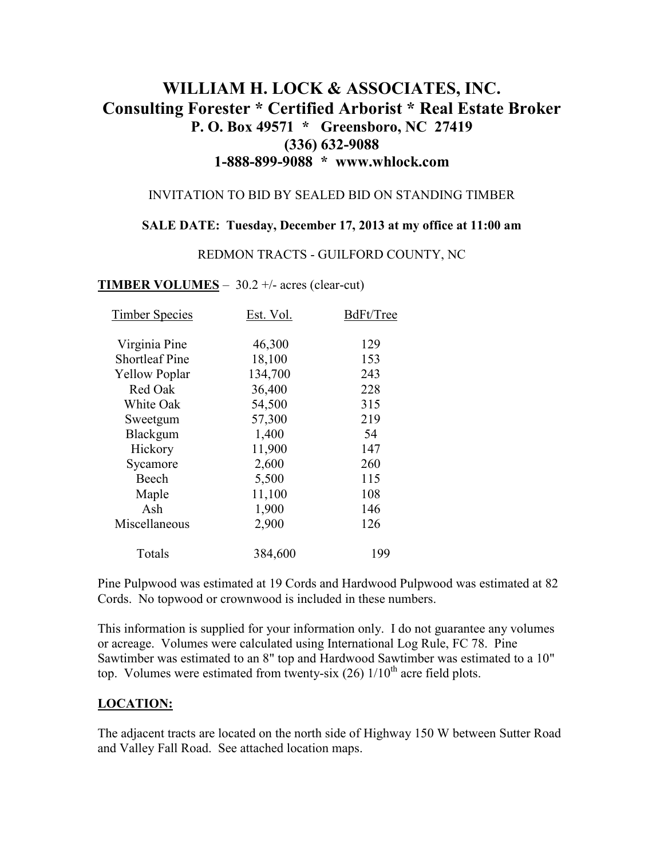# **WILLIAM H. LOCK & ASSOCIATES, INC. Consulting Forester \* Certified Arborist \* Real Estate Broker P. O. Box 49571 \* Greensboro, NC 27419 (336) 632-9088 1-888-899-9088 \* www.whlock.com**

#### INVITATION TO BID BY SEALED BID ON STANDING TIMBER

#### **SALE DATE: Tuesday, December 17, 2013 at my office at 11:00 am**

#### REDMON TRACTS - GUILFORD COUNTY, NC

#### **TIMBER VOLUMES** – 30.2 +/- acres (clear-cut)

| <b>Timber Species</b> | Est. Vol. | BdFt/Tree |
|-----------------------|-----------|-----------|
| Virginia Pine         | 46,300    | 129       |
| <b>Shortleaf Pine</b> | 18,100    | 153       |
| <b>Yellow Poplar</b>  | 134,700   | 243       |
| Red Oak               | 36,400    | 228       |
| White Oak             | 54,500    | 315       |
| Sweetgum              | 57,300    | 219       |
| Blackgum              | 1,400     | 54        |
| Hickory               | 11,900    | 147       |
| Sycamore              | 2,600     | 260       |
| Beech                 | 5,500     | 115       |
| Maple                 | 11,100    | 108       |
| Ash                   | 1,900     | 146       |
| Miscellaneous         | 2,900     | 126       |
| Totals                | 384,600   | 199       |

Pine Pulpwood was estimated at 19 Cords and Hardwood Pulpwood was estimated at 82 Cords. No topwood or crownwood is included in these numbers.

This information is supplied for your information only. I do not guarantee any volumes or acreage. Volumes were calculated using International Log Rule, FC 78. Pine Sawtimber was estimated to an 8" top and Hardwood Sawtimber was estimated to a 10" top. Volumes were estimated from twenty-six  $(26)$  1/10<sup>th</sup> acre field plots.

#### **LOCATION:**

The adjacent tracts are located on the north side of Highway 150 W between Sutter Road and Valley Fall Road. See attached location maps.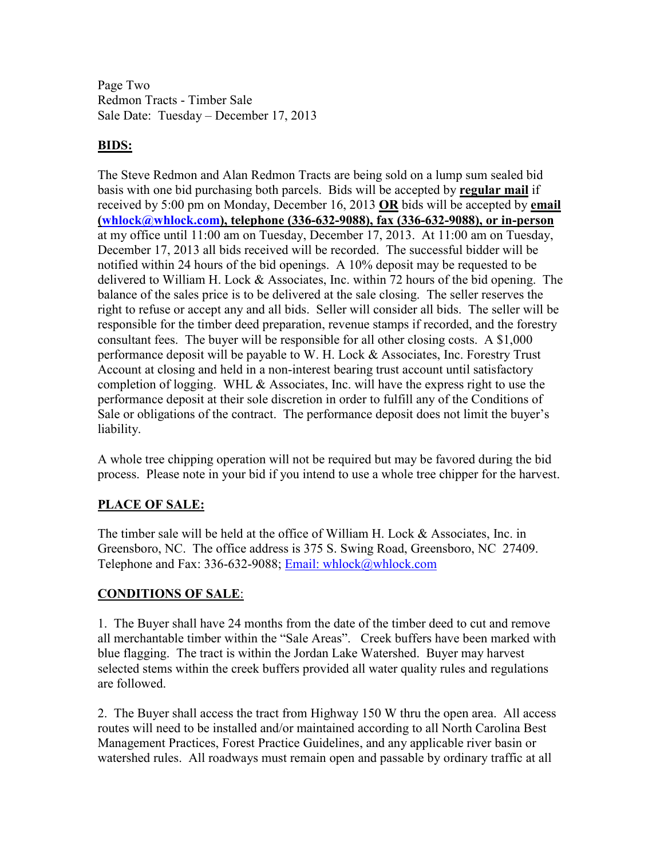Page Two Redmon Tracts - Timber Sale Sale Date: Tuesday – December 17, 2013

## **BIDS:**

The Steve Redmon and Alan Redmon Tracts are being sold on a lump sum sealed bid basis with one bid purchasing both parcels. Bids will be accepted by **regular mail** if received by 5:00 pm on Monday, December 16, 2013 **OR** bids will be accepted by **email (whlock@whlock.com), telephone (336-632-9088), fax (336-632-9088), or in-person** at my office until 11:00 am on Tuesday, December 17, 2013. At 11:00 am on Tuesday, December 17, 2013 all bids received will be recorded. The successful bidder will be notified within 24 hours of the bid openings. A 10% deposit may be requested to be delivered to William H. Lock & Associates, Inc. within 72 hours of the bid opening. The balance of the sales price is to be delivered at the sale closing. The seller reserves the right to refuse or accept any and all bids. Seller will consider all bids. The seller will be responsible for the timber deed preparation, revenue stamps if recorded, and the forestry consultant fees. The buyer will be responsible for all other closing costs. A \$1,000 performance deposit will be payable to W. H. Lock & Associates, Inc. Forestry Trust Account at closing and held in a non-interest bearing trust account until satisfactory completion of logging. WHL & Associates, Inc. will have the express right to use the performance deposit at their sole discretion in order to fulfill any of the Conditions of Sale or obligations of the contract. The performance deposit does not limit the buyer's liability.

A whole tree chipping operation will not be required but may be favored during the bid process. Please note in your bid if you intend to use a whole tree chipper for the harvest.

# **PLACE OF SALE:**

The timber sale will be held at the office of William H. Lock & Associates, Inc. in Greensboro, NC. The office address is 375 S. Swing Road, Greensboro, NC 27409. Telephone and Fax: 336-632-9088; Email: whlock@whlock.com

### **CONDITIONS OF SALE**:

1. The Buyer shall have 24 months from the date of the timber deed to cut and remove all merchantable timber within the "Sale Areas". Creek buffers have been marked with blue flagging. The tract is within the Jordan Lake Watershed. Buyer may harvest selected stems within the creek buffers provided all water quality rules and regulations are followed.

2. The Buyer shall access the tract from Highway 150 W thru the open area. All access routes will need to be installed and/or maintained according to all North Carolina Best Management Practices, Forest Practice Guidelines, and any applicable river basin or watershed rules. All roadways must remain open and passable by ordinary traffic at all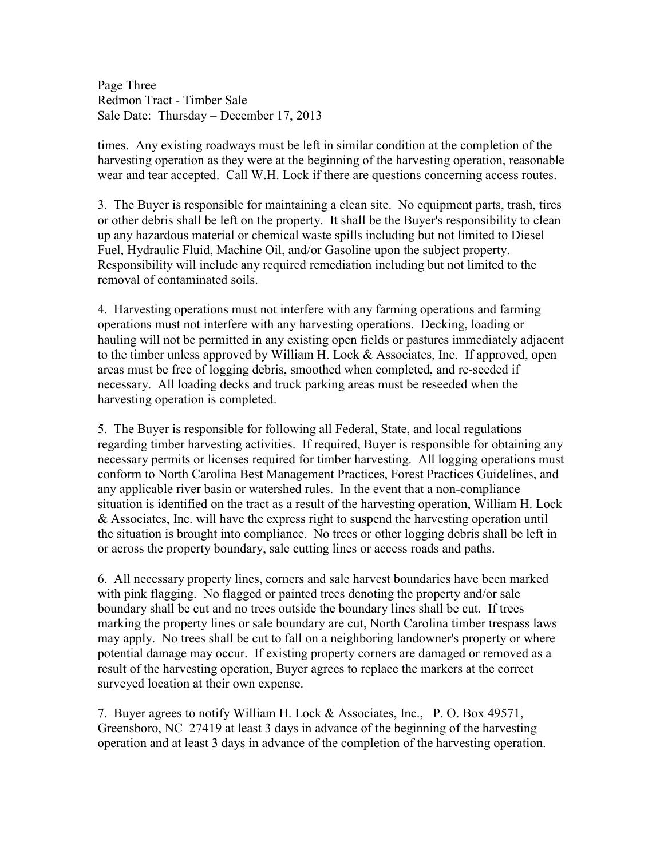Page Three Redmon Tract - Timber Sale Sale Date: Thursday – December 17, 2013

times. Any existing roadways must be left in similar condition at the completion of the harvesting operation as they were at the beginning of the harvesting operation, reasonable wear and tear accepted. Call W.H. Lock if there are questions concerning access routes.

3. The Buyer is responsible for maintaining a clean site. No equipment parts, trash, tires or other debris shall be left on the property. It shall be the Buyer's responsibility to clean up any hazardous material or chemical waste spills including but not limited to Diesel Fuel, Hydraulic Fluid, Machine Oil, and/or Gasoline upon the subject property. Responsibility will include any required remediation including but not limited to the removal of contaminated soils.

4. Harvesting operations must not interfere with any farming operations and farming operations must not interfere with any harvesting operations. Decking, loading or hauling will not be permitted in any existing open fields or pastures immediately adjacent to the timber unless approved by William H. Lock & Associates, Inc. If approved, open areas must be free of logging debris, smoothed when completed, and re-seeded if necessary. All loading decks and truck parking areas must be reseeded when the harvesting operation is completed.

5. The Buyer is responsible for following all Federal, State, and local regulations regarding timber harvesting activities. If required, Buyer is responsible for obtaining any necessary permits or licenses required for timber harvesting. All logging operations must conform to North Carolina Best Management Practices, Forest Practices Guidelines, and any applicable river basin or watershed rules. In the event that a non-compliance situation is identified on the tract as a result of the harvesting operation, William H. Lock & Associates, Inc. will have the express right to suspend the harvesting operation until the situation is brought into compliance. No trees or other logging debris shall be left in or across the property boundary, sale cutting lines or access roads and paths.

6. All necessary property lines, corners and sale harvest boundaries have been marked with pink flagging. No flagged or painted trees denoting the property and/or sale boundary shall be cut and no trees outside the boundary lines shall be cut. If trees marking the property lines or sale boundary are cut, North Carolina timber trespass laws may apply. No trees shall be cut to fall on a neighboring landowner's property or where potential damage may occur. If existing property corners are damaged or removed as a result of the harvesting operation, Buyer agrees to replace the markers at the correct surveyed location at their own expense.

7. Buyer agrees to notify William H. Lock & Associates, Inc., P. O. Box 49571, Greensboro, NC 27419 at least 3 days in advance of the beginning of the harvesting operation and at least 3 days in advance of the completion of the harvesting operation.